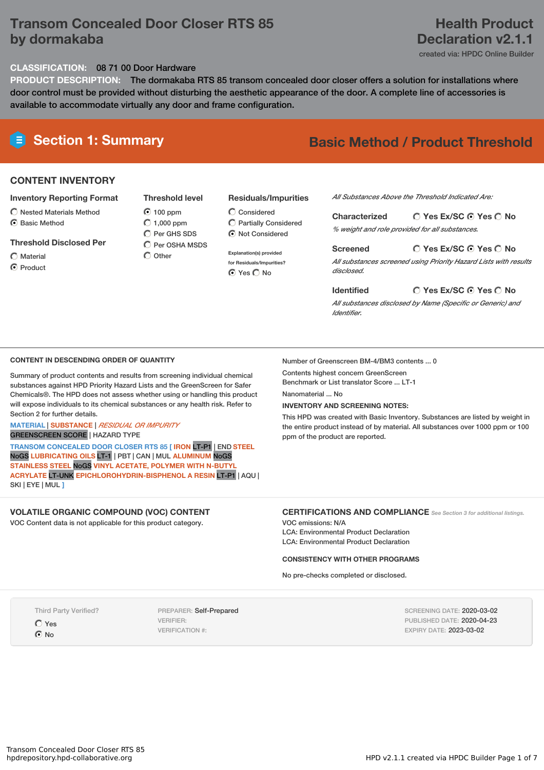# **Transom Concealed Door Closer RTS 85 by dormakaba**

# **Health Product Declaration v2.1.1**

created via: HPDC Online Builder

## **CLASSIFICATION:** 08 71 00 Door Hardware

**PRODUCT DESCRIPTION:** The dormakaba RTS 85 transom concealed door closer offers a solution for installations where door control must be provided without disturbing the aesthetic appearance of the door. A complete line of accessories is available to accommodate virtually any door and frame configuration.

# **Section 1: Summary Basic Method / Product Threshold**

## **CONTENT INVENTORY**

#### **Inventory Reporting Format**

- $\bigcirc$  Nested Materials Method
- **C** Basic Method
- **Threshold Disclosed Per**
- $\bigcirc$  Material
- **⊙** Product

**Threshold level** 100 ppm  $\bigcirc$  1,000 ppm  $\bigcirc$  Per GHS SDS  $\widehat{C}$  Per OSHA MSDS

 $\bigcap$  Other

# **Residuals/Impurities**

- Considered Partially Considered  $\odot$  Not Considered
- **Explanation(s) provided for Residuals/Impurities?** ⊙ Yes O No

# *All Substances Above the Threshold Indicated Are:*

**Yes Ex/SC Yes No Characterized** *% weight and role provided for all substances.*

**Yes Ex/SC Yes No Screened** *All substances screened using Priority Hazard Lists with results disclosed.*

**Yes Ex/SC Yes No**

*All substances disclosed by Name (Specific or Generic) and Identifier.*

## **CONTENT IN DESCENDING ORDER OF QUANTITY**

Summary of product contents and results from screening individual chemical substances against HPD Priority Hazard Lists and the GreenScreen for Safer Chemicals®. The HPD does not assess whether using or handling this product will expose individuals to its chemical substances or any health risk. Refer to Section 2 for further details.

#### **MATERIAL** | **SUBSTANCE** | *RESIDUAL OR IMPURITY* GREENSCREEN SCORE | HAZARD TYPE

**TRANSOM CONCEALED DOOR CLOSER RTS 85 [ IRON** LT-P1 | END **STEEL** NoGS **LUBRICATING OILS** LT-1 | PBT | CAN | MUL **ALUMINUM** NoGS **STAINLESS STEEL** NoGS **VINYL ACETATE, POLYMER WITH N-BUTYL ACRYLATE** LT-UNK **EPICHLOROHYDRIN-BISPHENOL A RESIN** LT-P1 | AQU | SKI | EYE | MUL **]**

## **VOLATILE ORGANIC COMPOUND (VOC) CONTENT**

VOC Content data is not applicable for this product category.

#### Number of Greenscreen BM-4/BM3 contents ... 0

Contents highest concern GreenScreen Benchmark or List translator Score ... LT-1

**Identified**

Nanomaterial No.

#### **INVENTORY AND SCREENING NOTES:**

This HPD was created with Basic Inventory. Substances are listed by weight in the entire product instead of by material. All substances over 1000 ppm or 100 ppm of the product are reported.

## **CERTIFICATIONS AND COMPLIANCE** *See Section <sup>3</sup> for additional listings.*

VOC emissions: N/A LCA: Environmental Product Declaration LCA: Environmental Product Declaration

#### **CONSISTENCY WITH OTHER PROGRAMS**

No pre-checks completed or disclosed.

Third Party Verified?

Yes  $\odot$  No

PREPARER: Self-Prepared VERIFIER: VERIFICATION #:

SCREENING DATE: 2020-03-02 PUBLISHED DATE: 2020-04-23 EXPIRY DATE: 2023-03-02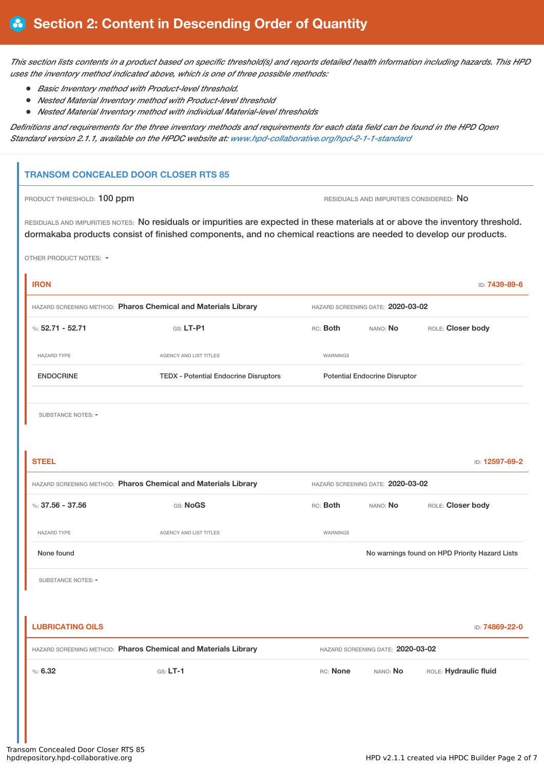This section lists contents in a product based on specific threshold(s) and reports detailed health information including hazards. This HPD *uses the inventory method indicated above, which is one of three possible methods:*

- *Basic Inventory method with Product-level threshold.*
- *Nested Material Inventory method with Product-level threshold*
- *Nested Material Inventory method with individual Material-level thresholds*

Definitions and requirements for the three inventory methods and requirements for each data field can be found in the HPD Open *Standard version 2.1.1, available on the HPDC website at: [www.hpd-collaborative.org/hpd-2-1-1-standard](https://www.hpd-collaborative.org/hpd-2-1-1-standard)*

## **TRANSOM CONCEALED DOOR CLOSER RTS 85**

PRODUCT THRESHOLD: 100 ppm **RESIDUALS** AND IMPURITIES CONSIDERED: No

RESIDUALS AND IMPURITIES NOTES: No residuals or impurities are expected in these materials at or above the inventory threshold. dormakaba products consist of finished components, and no chemical reactions are needed to develop our products.

OTHER PRODUCT NOTES: -

| <b>IRON</b>                                                    |                                              |                                      |                                                | ID: 7439-89-6         |  |  |
|----------------------------------------------------------------|----------------------------------------------|--------------------------------------|------------------------------------------------|-----------------------|--|--|
| HAZARD SCREENING METHOD: Pharos Chemical and Materials Library |                                              |                                      | HAZARD SCREENING DATE: 2020-03-02              |                       |  |  |
| %: $52.71 - 52.71$                                             | GS: LT-P1                                    | RC: Both                             | NANO: No                                       | ROLE: Closer body     |  |  |
| <b>HAZARD TYPE</b>                                             | <b>AGENCY AND LIST TITLES</b>                | WARNINGS                             |                                                |                       |  |  |
| <b>ENDOCRINE</b>                                               | <b>TEDX - Potential Endocrine Disruptors</b> | <b>Potential Endocrine Disruptor</b> |                                                |                       |  |  |
|                                                                |                                              |                                      |                                                |                       |  |  |
| <b>SUBSTANCE NOTES: -</b>                                      |                                              |                                      |                                                |                       |  |  |
|                                                                |                                              |                                      |                                                |                       |  |  |
| <b>STEEL</b>                                                   |                                              |                                      |                                                | ID: 12597-69-2        |  |  |
| HAZARD SCREENING METHOD: Pharos Chemical and Materials Library |                                              |                                      | HAZARD SCREENING DATE: 2020-03-02              |                       |  |  |
| %: 37.56 - 37.56                                               | GS: NoGS                                     | RC: Both                             | NANO: No                                       | ROLE: Closer body     |  |  |
| <b>HAZARD TYPE</b>                                             | <b>AGENCY AND LIST TITLES</b>                | <b>WARNINGS</b>                      |                                                |                       |  |  |
| None found                                                     |                                              |                                      | No warnings found on HPD Priority Hazard Lists |                       |  |  |
| <b>SUBSTANCE NOTES: -</b>                                      |                                              |                                      |                                                |                       |  |  |
|                                                                |                                              |                                      |                                                |                       |  |  |
| <b>LUBRICATING OILS</b>                                        |                                              |                                      |                                                | ID: 74869-22-0        |  |  |
| HAZARD SCREENING METHOD: Pharos Chemical and Materials Library |                                              |                                      | HAZARD SCREENING DATE: 2020-03-02              |                       |  |  |
| %5.32                                                          | $G.S. LT-1$                                  | RC: None                             | NANO: No                                       | ROLE: Hydraulic fluid |  |  |
|                                                                |                                              |                                      |                                                |                       |  |  |
|                                                                |                                              |                                      |                                                |                       |  |  |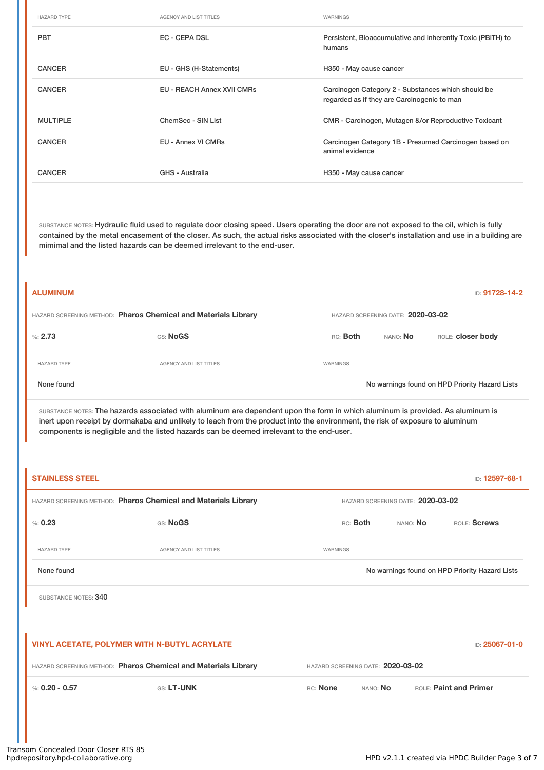| <b>HAZARD TYPE</b> | <b>AGENCY AND LIST TITLES</b>     | WARNINGS                                                                                          |
|--------------------|-----------------------------------|---------------------------------------------------------------------------------------------------|
| <b>PBT</b>         | <b>EC - CEPA DSL</b>              | Persistent, Bioaccumulative and inherently Toxic (PBITH) to<br>humans                             |
| <b>CANCER</b>      | EU - GHS (H-Statements)           | H350 - May cause cancer                                                                           |
| <b>CANCER</b>      | <b>EU - REACH Annex XVII CMRs</b> | Carcinogen Category 2 - Substances which should be<br>regarded as if they are Carcinogenic to man |
| <b>MULTIPLE</b>    | ChemSec - SIN List                | CMR - Carcinogen, Mutagen &/or Reproductive Toxicant                                              |
| <b>CANCER</b>      | EU - Annex VI CMRs                | Carcinogen Category 1B - Presumed Carcinogen based on<br>animal evidence                          |
| <b>CANCER</b>      | GHS - Australia                   | H350 - May cause cancer                                                                           |

SUBSTANCE NOTES: Hydraulic fluid used to regulate door closing speed. Users operating the door are not exposed to the oil, which is fully contained by the metal encasement of the closer. As such, the actual risks associated with the closer's installation and use in a building are mimimal and the listed hazards can be deemed irrelevant to the end-user.

| <b>ALUMINUM</b><br>ID: 91728-14-2                              |                        |          |                                   |                                                |  |  |
|----------------------------------------------------------------|------------------------|----------|-----------------------------------|------------------------------------------------|--|--|
| HAZARD SCREENING METHOD: Pharos Chemical and Materials Library |                        |          | HAZARD SCREENING DATE: 2020-03-02 |                                                |  |  |
| %: $2.73$                                                      | GS: NoGS               | RC: Both | nano: <b>No</b>                   | ROLE: closer body                              |  |  |
| <b>HAZARD TYPE</b>                                             | AGENCY AND LIST TITLES | WARNINGS |                                   |                                                |  |  |
| None found                                                     |                        |          |                                   | No warnings found on HPD Priority Hazard Lists |  |  |

SUBSTANCE NOTES: The hazards associated with aluminum are dependent upon the form in which aluminum is provided. As aluminum is inert upon receipt by dormakaba and unlikely to leach from the product into the environment, the risk of exposure to aluminum components is negligible and the listed hazards can be deemed irrelevant to the end-user.

| <b>STAINLESS STEEL</b><br>ID: 12597-68-1                       |                               |                                                |                             |  |                               |  |
|----------------------------------------------------------------|-------------------------------|------------------------------------------------|-----------------------------|--|-------------------------------|--|
| HAZARD SCREENING METHOD: Pharos Chemical and Materials Library |                               | HAZARD SCREENING DATE: 2020-03-02              |                             |  |                               |  |
| % 0.23                                                         | GS: NoGS                      |                                                | RC: Both<br>NANO: <b>No</b> |  | ROLE: Screws                  |  |
| <b>HAZARD TYPE</b>                                             | <b>AGENCY AND LIST TITLES</b> | WARNINGS                                       |                             |  |                               |  |
| None found                                                     |                               | No warnings found on HPD Priority Hazard Lists |                             |  |                               |  |
| SUBSTANCE NOTES: 340                                           |                               |                                                |                             |  |                               |  |
|                                                                |                               |                                                |                             |  |                               |  |
| VINYL ACETATE, POLYMER WITH N-BUTYL ACRYLATE<br>ID: 25067-01-0 |                               |                                                |                             |  |                               |  |
| HAZARD SCREENING METHOD: Pharos Chemical and Materials Library |                               | HAZARD SCREENING DATE: 2020-03-02              |                             |  |                               |  |
| %: $0.20 - 0.57$                                               | GS: LT-UNK                    | RC: None                                       | NANO: No                    |  | <b>ROLE: Paint and Primer</b> |  |
|                                                                |                               |                                                |                             |  |                               |  |
|                                                                |                               |                                                |                             |  |                               |  |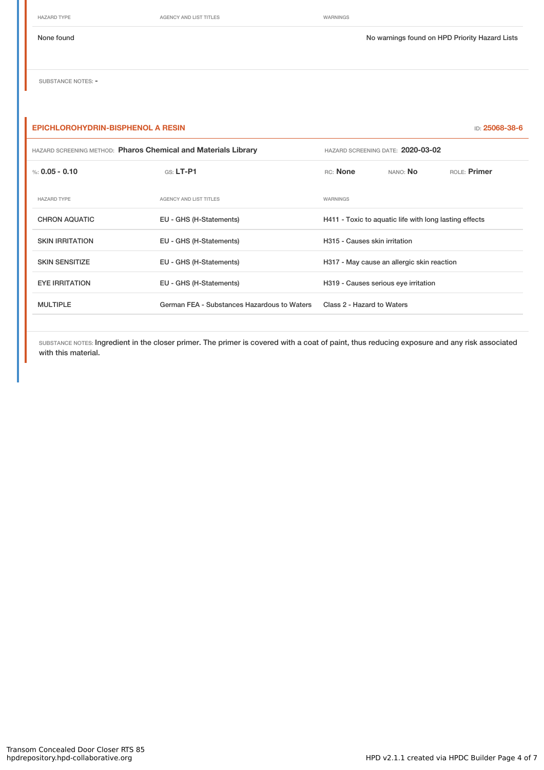HAZARD TYPE **AGENCY AND LIST TITLES** WARNINGS

None found Now arrings found on HPD Priority Hazard Lists

SUBSTANCE NOTES: -

| <b>EPICHLOROHYDRIN-BISPHENOL A RESIN</b><br>ID: 25068-38-6     |                                             |                                                        |                 |              |  |
|----------------------------------------------------------------|---------------------------------------------|--------------------------------------------------------|-----------------|--------------|--|
| HAZARD SCREENING METHOD: Pharos Chemical and Materials Library |                                             | HAZARD SCREENING DATE: 2020-03-02                      |                 |              |  |
| %: $0.05 - 0.10$                                               | $G.S. LT-P1$                                | RC: None                                               | nano: <b>No</b> | ROLE: Primer |  |
| <b>HAZARD TYPE</b>                                             | <b>AGENCY AND LIST TITLES</b>               | WARNINGS                                               |                 |              |  |
| <b>CHRON AQUATIC</b>                                           | EU - GHS (H-Statements)                     | H411 - Toxic to aquatic life with long lasting effects |                 |              |  |
| <b>SKIN IRRITATION</b>                                         | EU - GHS (H-Statements)                     | H315 - Causes skin irritation                          |                 |              |  |
| <b>SKIN SENSITIZE</b>                                          | EU - GHS (H-Statements)                     | H317 - May cause an allergic skin reaction             |                 |              |  |
| <b>EYE IRRITATION</b>                                          | EU - GHS (H-Statements)                     | H319 - Causes serious eye irritation                   |                 |              |  |
| <b>MULTIPLE</b>                                                | German FEA - Substances Hazardous to Waters | Class 2 - Hazard to Waters                             |                 |              |  |
|                                                                |                                             |                                                        |                 |              |  |

SUBSTANCE NOTES: Ingredient in the closer primer. The primer is covered with a coat of paint, thus reducing exposure and any risk associated with this material.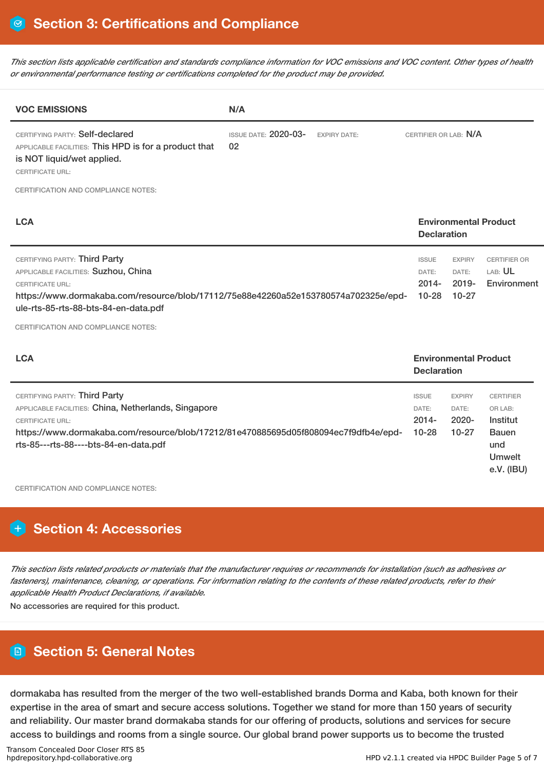This section lists applicable certification and standards compliance information for VOC emissions and VOC content. Other types of health *or environmental performance testing or certifications completed for the product may be provided.*

| <b>VOC EMISSIONS</b>                                                                                                                                                                                                                                                   | N/A                                                      |                                                |                                               |                                                                                 |
|------------------------------------------------------------------------------------------------------------------------------------------------------------------------------------------------------------------------------------------------------------------------|----------------------------------------------------------|------------------------------------------------|-----------------------------------------------|---------------------------------------------------------------------------------|
| CERTIFYING PARTY: Self-declared<br>APPLICABLE FACILITIES: This HPD is for a product that<br>is NOT liquid/wet applied.<br><b>CERTIFICATE URL:</b>                                                                                                                      | <b>ISSUE DATE: 2020-03-</b><br><b>EXPIRY DATE:</b><br>02 | CERTIFIER OR LAB: N/A                          |                                               |                                                                                 |
| CERTIFICATION AND COMPLIANCE NOTES:                                                                                                                                                                                                                                    |                                                          |                                                |                                               |                                                                                 |
| <b>LCA</b>                                                                                                                                                                                                                                                             |                                                          | <b>Declaration</b>                             | <b>Environmental Product</b>                  |                                                                                 |
| CERTIFYING PARTY: Third Party<br>APPLICABLE FACILITIES: Suzhou, China<br><b>CERTIFICATE URL:</b><br>https://www.dormakaba.com/resource/blob/17112/75e88e42260a52e153780574a702325e/epd-<br>ule-rts-85-rts-88-bts-84-en-data.pdf<br>CERTIFICATION AND COMPLIANCE NOTES: |                                                          | <b>ISSUE</b><br>DATE:<br>$2014 -$<br>$10 - 28$ | <b>EXPIRY</b><br>DATE:<br>$2019 -$<br>$10-27$ | <b>CERTIFIER OR</b><br>LAB: UL<br>Environment                                   |
| <b>LCA</b>                                                                                                                                                                                                                                                             |                                                          | <b>Declaration</b>                             | <b>Environmental Product</b>                  |                                                                                 |
| CERTIFYING PARTY: Third Party<br>APPLICABLE FACILITIES: China, Netherlands, Singapore<br><b>CERTIFICATE URL:</b><br>https://www.dormakaba.com/resource/blob/17212/81e470885695d05f808094ec7f9dfb4e/epd-<br>rts-85---rts-88----bts-84-en-data.pdf                       |                                                          | <b>ISSUE</b><br>DATE:<br>$2014 -$<br>$10 - 28$ | <b>EXPIRY</b><br>DATE:<br>$2020 -$<br>$10-27$ | <b>CERTIFIER</b><br>OR LAB:<br>Institut<br><b>Bauen</b><br>und<br><b>Umwelt</b> |

CERTIFICATION AND COMPLIANCE NOTES:

# **Section 4: Accessories**

This section lists related products or materials that the manufacturer requires or recommends for installation (such as adhesives or fasteners), maintenance, cleaning, or operations. For information relating to the contents of these related products, refer to their *applicable Health Product Declarations, if available.*

No accessories are required for this product.

# **Section 5: General Notes**

dormakaba has resulted from the merger of the two well-established brands Dorma and Kaba, both known for their expertise in the area of smart and secure access solutions. Together we stand for more than 150 years of security and reliability. Our master brand dormakaba stands for our offering of products, solutions and services for secure access to buildings and rooms from a single source. Our global brand power supports us to become the trusted

e.V. (IBU)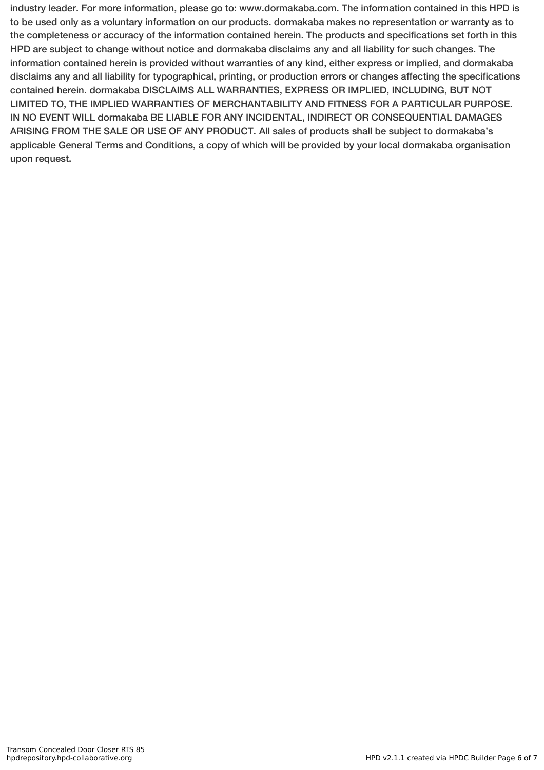industry leader. For more information, please go to: www.dormakaba.com. The information contained in this HPD is to be used only as a voluntary information on our products. dormakaba makes no representation or warranty as to the completeness or accuracy of the information contained herein. The products and specifications set forth in this HPD are subject to change without notice and dormakaba disclaims any and all liability for such changes. The information contained herein is provided without warranties of any kind, either express or implied, and dormakaba disclaims any and all liability for typographical, printing, or production errors or changes affecting the specifications contained herein. dormakaba DISCLAIMS ALL WARRANTIES, EXPRESS OR IMPLIED, INCLUDING, BUT NOT LIMITED TO, THE IMPLIED WARRANTIES OF MERCHANTABILITY AND FITNESS FOR A PARTICULAR PURPOSE. IN NO EVENT WILL dormakaba BE LIABLE FOR ANY INCIDENTAL, INDIRECT OR CONSEQUENTIAL DAMAGES ARISING FROM THE SALE OR USE OF ANY PRODUCT. All sales of products shall be subject to dormakaba's applicable General Terms and Conditions, a copy of which will be provided by your local dormakaba organisation upon request.